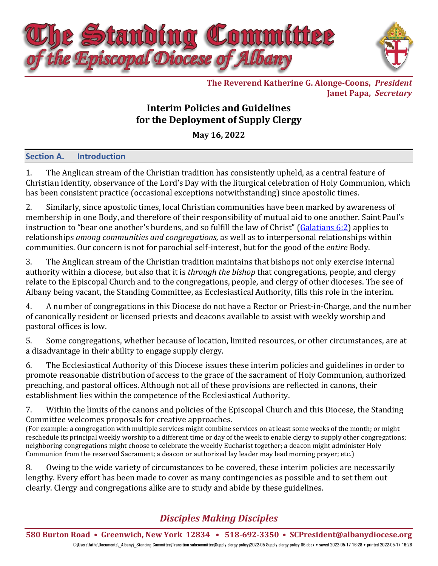

**The Reverend Katherine G. Alonge-Coons,** *President* **Janet Papa,** *Secretary*

## **Interim Policies and Guidelines for the Deployment of Supply Clergy**

**May 16, 2022**

## **Section A. Introduction**

1. The Anglican stream of the Christian tradition has consistently upheld, as a central feature of Christian identity, observance of the Lord's Day with the liturgical celebration of Holy Communion, which has been consistent practice (occasional exceptions notwithstanding) since apostolic times.

2. Similarly, since apostolic times, local Christian communities have been marked by awareness of membership in one Body, and therefore of their responsibility of mutual aid to one another. Saint Paul's instruction to "bear one another's burdens, and so fulfill the law of Christ" ([Galatians](https://www.biblegateway.com/passage/?search=Galatians+6%3A2&version=ESV) 6:2) applies to relationships *among communities and congregations,* as well as to interpersonal relationships within communities. Our concern is not for parochial self-interest, but for the good of the *entire* Body.

3. The Anglican stream of the Christian tradition maintains that bishops not only exercise internal authority within a diocese, but also that it is *through the bishop* that congregations, people, and clergy relate to the Episcopal Church and to the congregations, people, and clergy of other dioceses. The see of Albany being vacant, the Standing Committee, as Ecclesiastical Authority, fills this role in the interim.

4. A number of congregations in this Diocese do not have a Rector or Priest-in-Charge, and the number of canonically resident or licensed priests and deacons available to assist with weekly worship and pastoral offices is low.

5. Some congregations, whether because of location, limited resources, or other circumstances, are at a disadvantage in their ability to engage supply clergy.

6. The Ecclesiastical Authority of this Diocese issues these interim policies and guidelines in order to promote reasonable distribution of access to the grace of the sacrament of Holy Communion, authorized preaching, and pastoral offices. Although not all of these provisions are reflected in canons, their establishment lies within the competence of the Ecclesiastical Authority.

7. Within the limits of the canons and policies of the Episcopal Church and this Diocese, the Standing Committee welcomes proposals for creative approaches.

(For example: a congregation with multiple services might combine services on at least some weeks of the month; or might reschedule its principal weekly worship to a different time or day of the week to enable clergy to supply other congregations; neighboring congregations might choose to celebrate the weekly Eucharist together; a deacon might administer Holy Communion from the reserved Sacrament; a deacon or authorized lay leader may lead morning prayer; etc.)

8. Owing to the wide variety of circumstances to be covered, these interim policies are necessarily lengthy. Every effort has been made to cover as many contingencies as possible and to set them out clearly. Clergy and congregations alike are to study and abide by these guidelines.

# *Disciples Making Disciples*

**580 Burton Road • Greenwich, New York 12834 • 518-692-3350 • [SCPresident@albanydiocese.org](mailto:SCPresident@albanydiocese.org)**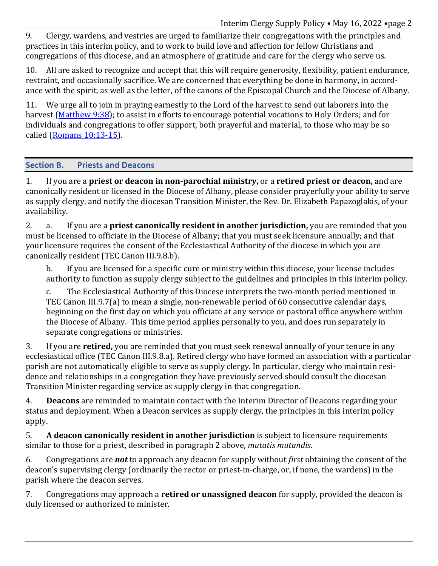Interim Clergy Supply Policy • May 16, 2022 •page 2

9. Clergy, wardens, and vestries are urged to familiarize their congregations with the principles and practices in this interim policy, and to work to build love and affection for fellow Christians and congregations of this diocese, and an atmosphere of gratitude and care for the clergy who serve us.

10. All are asked to recognize and accept that this will require generosity, flexibility, patient endurance, restraint, and occasionally sacrifice. We are concerned that everything be done in harmony, in accordance with the spirit, as well as the letter, of the canons of the Episcopal Church and the Diocese of Albany.

11. We urge all to join in praying earnestly to the Lord of the harvest to send out laborers into the harvest [\(Matthew](https://www.biblegateway.com/passage/?search=Matthew+9%3A38&version=ESV) 9:38); to assist in efforts to encourage potential vocations to Holy Orders; and for individuals and congregations to offer support, both prayerful and material, to those who may be so called (Romans [10:13-15\)](https://www.biblegateway.com/passage/?search=Romans+10%3A13-15&version=NET).

## **Section B. Priests and Deacons**

1. If you are a **priest or deacon in non-parochial ministry,** or a **retired priest or deacon,** and are canonically resident or licensed in the Diocese of Albany, please consider prayerfully your ability to serve as supply clergy, and notify the diocesan Transition Minister, the Rev. Dr. Elizabeth Papazoglakis, of your availability.

2. a. If you are a **priest canonically resident in another jurisdiction,** you are reminded that you must be licensed to officiate in the Diocese of Albany; that you must seek licensure annually; and that your licensure requires the consent of the Ecclesiastical Authority of the diocese in which you are canonically resident (TEC Canon III.9.8.b).

b. If you are licensed for a specific cure or ministry within this diocese, your license includes authority to function as supply clergy subject to the guidelines and principles in this interim policy.

c. The Ecclesiastical Authority of this Diocese interprets the two-month period mentioned in TEC Canon III.9.7(a) to mean a single, non-renewable period of 60 consecutive calendar days, beginning on the first day on which you officiate at any service or pastoral office anywhere within the Diocese of Albany. This time period applies personally to you, and does run separately in separate congregations or ministries.

3. If you are **retired,** you are reminded that you must seek renewal annually of your tenure in any ecclesiastical office (TEC Canon III.9.8.a). Retired clergy who have formed an association with a particular parish are not automatically eligible to serve as supply clergy. In particular, clergy who maintain residence and relationships in a congregation they have previously served should consult the diocesan Transition Minister regarding service as supply clergy in that congregation.

4. **Deacons** are reminded to maintain contact with the Interim Director of Deacons regarding your status and deployment. When a Deacon services as supply clergy, the principles in this interim policy apply.

5. **A deacon canonically resident in another jurisdiction** is subject to licensure requirements similar to those for a priest, described in paragraph 2 above, *mutatis mutandis*.

6. Congregations are *not* to approach any deacon for supply without *first* obtaining the consent of the deacon's supervising clergy (ordinarily the rector or priest-in-charge, or, if none, the wardens) in the parish where the deacon serves.

7. Congregations may approach a **retired or unassigned deacon** for supply, provided the deacon is duly licensed or authorized to minister.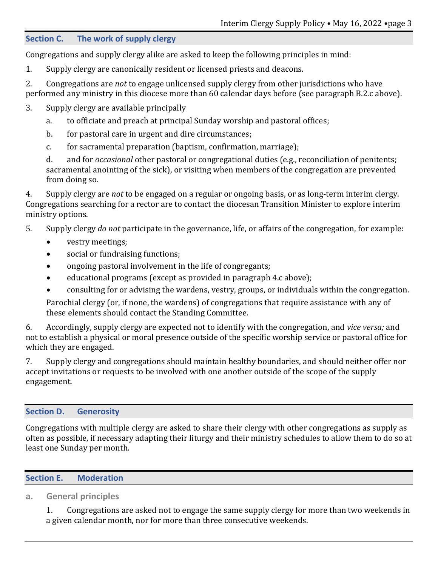#### **Section C. The work of supply clergy**

Congregations and supply clergy alike are asked to keep the following principles in mind:

- 1. Supply clergy are canonically resident or licensed priests and deacons.
- 2. Congregations are *not* to engage unlicensed supply clergy from other jurisdictions who have performed any ministry in this diocese more than 60 calendar days before (see paragraph B.2.c above).
- 3. Supply clergy are available principally
	- a. to officiate and preach at principal Sunday worship and pastoral offices;
	- b. for pastoral care in urgent and dire circumstances;
	- c. for sacramental preparation (baptism, confirmation, marriage);

d. and for *occasional* other pastoral or congregational duties (e.g., reconciliation of penitents; sacramental anointing of the sick), or visiting when members of the congregation are prevented from doing so.

4. Supply clergy are *not* to be engaged on a regular or ongoing basis, or as long-term interim clergy. Congregations searching for a rector are to contact the diocesan Transition Minister to explore interim ministry options.

5. Supply clergy *do not* participate in the governance, life, or affairs of the congregation, for example:

- vestry meetings;
- social or fundraising functions;
- ongoing pastoral involvement in the life of congregants;
- educational programs (except as provided in paragraph 4.c above);
- consulting for or advising the wardens, vestry, groups, or individuals within the congregation.

Parochial clergy (or, if none, the wardens) of congregations that require assistance with any of these elements should contact the Standing Committee.

6. Accordingly, supply clergy are expected not to identify with the congregation, and *vice versa;* and not to establish a physical or moral presence outside of the specific worship service or pastoral office for which they are engaged.

7. Supply clergy and congregations should maintain healthy boundaries, and should neither offer nor accept invitations or requests to be involved with one another outside of the scope of the supply engagement.

#### **Section D. Generosity**

Congregations with multiple clergy are asked to share their clergy with other congregations as supply as often as possible, if necessary adapting their liturgy and their ministry schedules to allow them to do so at least one Sunday per month.

#### **Section E. Moderation**

## **a. General principles**

1. Congregations are asked not to engage the same supply clergy for more than two weekends in a given calendar month, nor for more than three consecutive weekends.